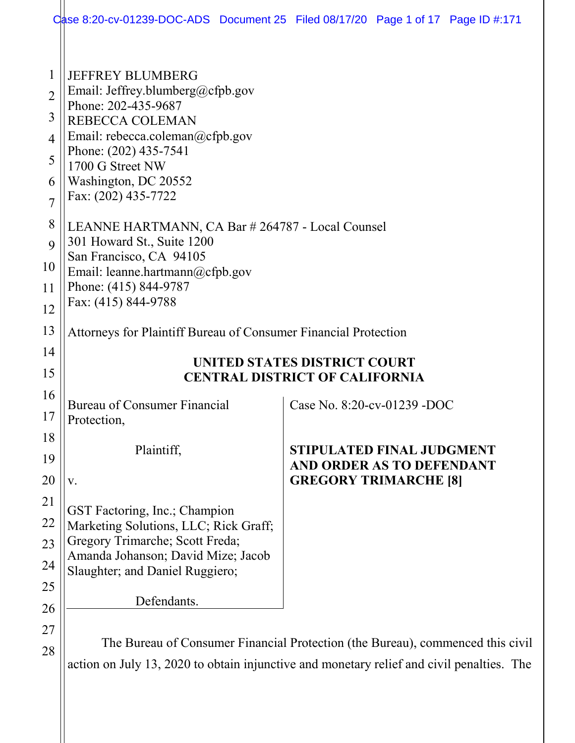|                                                           | Case 8:20-cv-01239-DOC-ADS Document 25 Filed 08/17/20 Page 1 of 17 Page ID #:171                                                                                                                                                     |                                                                                               |  |
|-----------------------------------------------------------|--------------------------------------------------------------------------------------------------------------------------------------------------------------------------------------------------------------------------------------|-----------------------------------------------------------------------------------------------|--|
| 1<br>$\overline{2}$<br>3<br>4<br>5<br>6<br>$\overline{7}$ | <b>JEFFREY BLUMBERG</b><br>Email: Jeffrey.blumberg@cfpb.gov<br>Phone: 202-435-9687<br>REBECCA COLEMAN<br>Email: rebecca.coleman@cfpb.gov<br>Phone: (202) 435-7541<br>1700 G Street NW<br>Washington, DC 20552<br>Fax: (202) 435-7722 |                                                                                               |  |
| 8<br>9<br>10<br>11                                        | LEANNE HARTMANN, CA Bar # 264787 - Local Counsel<br>301 Howard St., Suite 1200<br>San Francisco, CA 94105<br>Email: leanne.hartmann@cfpb.gov<br>Phone: (415) 844-9787                                                                |                                                                                               |  |
| 12<br>13<br>14<br>15                                      | Fax: (415) 844-9788<br>Attorneys for Plaintiff Bureau of Consumer Financial Protection<br><b>CENTRAL DISTRICT OF CALIFORNIA</b>                                                                                                      | UNITED STATES DISTRICT COURT                                                                  |  |
| 16<br>17                                                  | <b>Bureau of Consumer Financial</b><br>Protection,                                                                                                                                                                                   | Case No. 8:20-cv-01239 -DOC                                                                   |  |
| 18<br>19<br>20                                            | Plaintiff,<br>V.                                                                                                                                                                                                                     | <b>STIPULATED FINAL JUDGMENT</b><br>AND ORDER AS TO DEFENDANT<br><b>GREGORY TRIMARCHE [8]</b> |  |
| 21<br>22<br>23<br>24                                      | GST Factoring, Inc.; Champion<br>Marketing Solutions, LLC; Rick Graff;<br>Gregory Trimarche; Scott Freda;<br>Amanda Johanson; David Mize; Jacob<br>Slaughter; and Daniel Ruggiero;                                                   |                                                                                               |  |
| 25<br>26                                                  | Defendants.                                                                                                                                                                                                                          |                                                                                               |  |
| 27<br>28                                                  | The Bureau of Consumer Financial Protection (the Bureau), commenced this civil<br>action on July 13, 2020 to obtain injunctive and monetary relief and civil penalties. The                                                          |                                                                                               |  |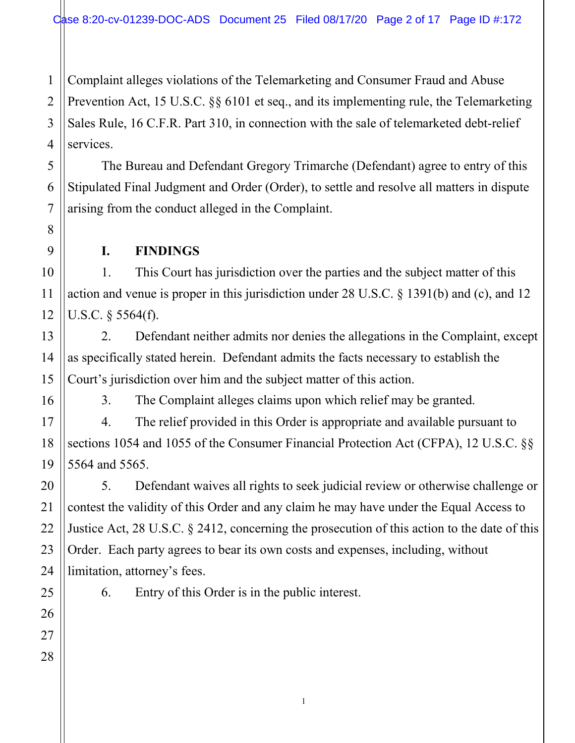1 2 3 4 Complaint alleges violations of the Telemarketing and Consumer Fraud and Abuse Prevention Act, 15 U.S.C. §§ 6101 et seq., and its implementing rule, the Telemarketing Sales Rule, 16 C.F.R. Part 310, in connection with the sale of telemarketed debt-relief services.

The Bureau and Defendant Gregory Trimarche (Defendant) agree to entry of this Stipulated Final Judgment and Order (Order), to settle and resolve all matters in dispute arising from the conduct alleged in the Complaint.

**I. FINDINGS**

1. This Court has jurisdiction over the parties and the subject matter of this action and venue is proper in this jurisdiction under 28 U.S.C. § 1391(b) and (c), and 12 U.S.C. § 5564(f).

2. Defendant neither admits nor denies the allegations in the Complaint, except as specifically stated herein. Defendant admits the facts necessary to establish the Court's jurisdiction over him and the subject matter of this action.

3. The Complaint alleges claims upon which relief may be granted.

4. The relief provided in this Order is appropriate and available pursuant to sections 1054 and 1055 of the Consumer Financial Protection Act (CFPA), 12 U.S.C. §§ 5564 and 5565.

5. Defendant waives all rights to seek judicial review or otherwise challenge or contest the validity of this Order and any claim he may have under the Equal Access to Justice Act, 28 U.S.C. § 2412, concerning the prosecution of this action to the date of this Order. Each party agrees to bear its own costs and expenses, including, without limitation, attorney's fees.

1

6. Entry of this Order is in the public interest.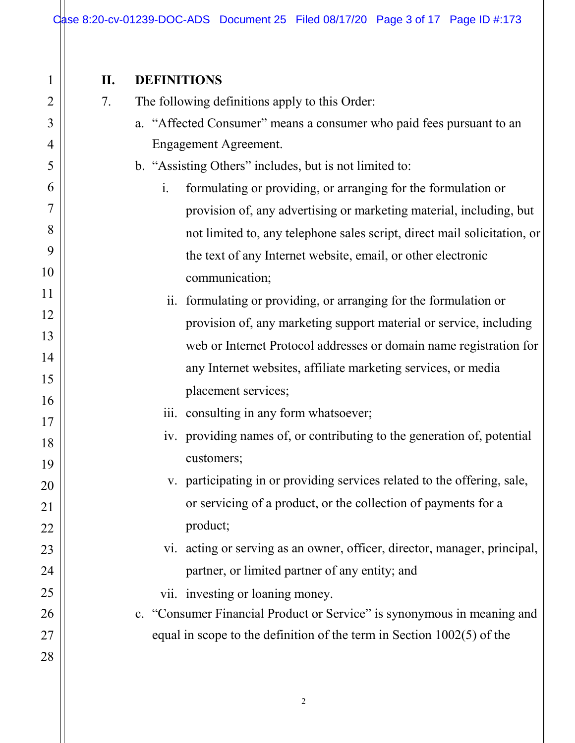## **II. DEFINITIONS**

2

3

4

5

6

7

8

9

10

11

12

13

14

15

16

17

18

19

20

21

22

23

24

25

26

27

| $\mathbf 1$      | II. | <b>DEFINITIONS</b>                                                              |
|------------------|-----|---------------------------------------------------------------------------------|
| 2                | 7.  | The following definitions apply to this Order:                                  |
| 3                |     | a. "Affected Consumer" means a consumer who paid fees pursuant to an            |
| 4                |     | Engagement Agreement.                                                           |
| 5                |     | b. "Assisting Others" includes, but is not limited to:                          |
| 6                |     | formulating or providing, or arranging for the formulation or<br>$\mathbf{i}$ . |
| 7                |     | provision of, any advertising or marketing material, including, but             |
| 8                |     | not limited to, any telephone sales script, direct mail solicitation, or        |
| 9                |     | the text of any Internet website, email, or other electronic                    |
| $\boldsymbol{0}$ |     | communication;                                                                  |
| $\mathbf 1$      |     | ii. formulating or providing, or arranging for the formulation or               |
| 2                |     | provision of, any marketing support material or service, including              |
| 3                |     | web or Internet Protocol addresses or domain name registration for              |
| 4                |     | any Internet websites, affiliate marketing services, or media                   |
| 5                |     | placement services;                                                             |
| 6<br>7           |     | iii. consulting in any form whatsoever;                                         |
| 8                |     | iv. providing names of, or contributing to the generation of, potential         |
| 9                |     | customers;                                                                      |
| $\Omega$         |     | v. participating in or providing services related to the offering, sale,        |
| $\frac{1}{2}$    |     | or servicing of a product, or the collection of payments for a                  |
| $\overline{2}$   |     | product;                                                                        |
| $\overline{3}$   |     | vi. acting or serving as an owner, officer, director, manager, principal,       |
| $\mathcal{A}$    |     | partner, or limited partner of any entity; and                                  |
| $\overline{5}$   |     | vii. investing or loaning money.                                                |
| 6 <sup>o</sup>   |     | c. "Consumer Financial Product or Service" is synonymous in meaning and         |
| 7 <sup>2</sup>   |     | equal in scope to the definition of the term in Section $1002(5)$ of the        |
| 28               |     |                                                                                 |
|                  |     |                                                                                 |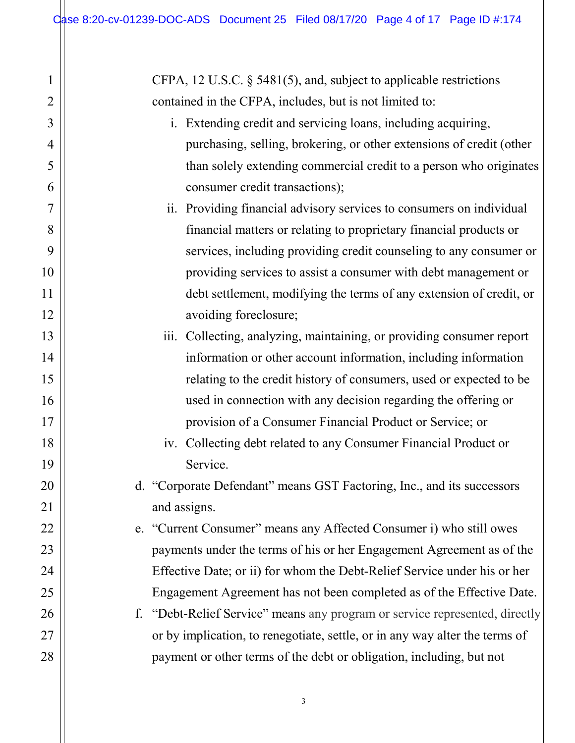1

2

3

4

5

6

7

8

9

10

11

12

13

14

15

16

17

18

19

20

21

22

23

24

25

26

27

28

CFPA, 12 U.S.C. § 5481(5), and, subject to applicable restrictions contained in the CFPA, includes, but is not limited to:

- i. Extending credit and servicing loans, including acquiring, purchasing, selling, brokering, or other extensions of credit (other than solely extending commercial credit to a person who originates consumer credit transactions);
- ii. Providing financial advisory services to consumers on individual financial matters or relating to proprietary financial products or services, including providing credit counseling to any consumer or providing services to assist a consumer with debt management or debt settlement, modifying the terms of any extension of credit, or avoiding foreclosure;

iii. Collecting, analyzing, maintaining, or providing consumer report information or other account information, including information relating to the credit history of consumers, used or expected to be used in connection with any decision regarding the offering or provision of a Consumer Financial Product or Service; or

- iv. Collecting debt related to any Consumer Financial Product or Service.
- d. "Corporate Defendant" means GST Factoring, Inc., and its successors and assigns.

e. "Current Consumer" means any Affected Consumer i) who still owes payments under the terms of his or her Engagement Agreement as of the Effective Date; or ii) for whom the Debt-Relief Service under his or her Engagement Agreement has not been completed as of the Effective Date.

f. "Debt-Relief Service" means any program or service represented, directly or by implication, to renegotiate, settle, or in any way alter the terms of payment or other terms of the debt or obligation, including, but not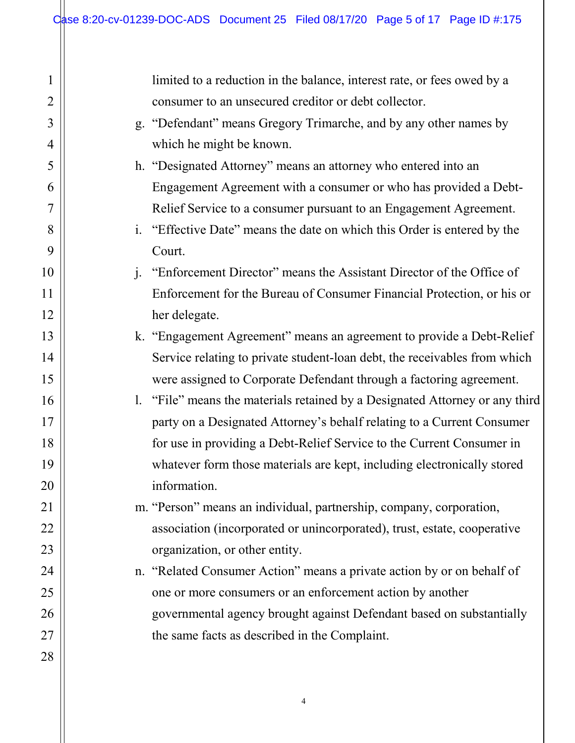| $\mathbf 1$    | limited to a reduction in the balance, interest rate, or fees owed by a                |
|----------------|----------------------------------------------------------------------------------------|
| $\overline{2}$ | consumer to an unsecured creditor or debt collector.                                   |
| 3              | g. "Defendant" means Gregory Trimarche, and by any other names by                      |
| 4              | which he might be known.                                                               |
| 5              | h. "Designated Attorney" means an attorney who entered into an                         |
| 6              | Engagement Agreement with a consumer or who has provided a Debt-                       |
| 7              | Relief Service to a consumer pursuant to an Engagement Agreement.                      |
| 8              | i. "Effective Date" means the date on which this Order is entered by the               |
| 9              | Court.                                                                                 |
| 10             | $\mathbf{i}$ .<br>"Enforcement Director" means the Assistant Director of the Office of |
| 11             | Enforcement for the Bureau of Consumer Financial Protection, or his or                 |
| 12             | her delegate.                                                                          |
| 13             | k. "Engagement Agreement" means an agreement to provide a Debt-Relief                  |
| 14             | Service relating to private student-loan debt, the receivables from which              |
| 15             | were assigned to Corporate Defendant through a factoring agreement.                    |
| 16             | 1. "File" means the materials retained by a Designated Attorney or any third           |
| 17             | party on a Designated Attorney's behalf relating to a Current Consumer                 |
| 18             | for use in providing a Debt-Relief Service to the Current Consumer in                  |
| 19             | whatever form those materials are kept, including electronically stored                |
| 20             | information.                                                                           |
| 21             | m. "Person" means an individual, partnership, company, corporation,                    |
| 22             | association (incorporated or unincorporated), trust, estate, cooperative               |
| 23             | organization, or other entity.                                                         |
| 24             | n. "Related Consumer Action" means a private action by or on behalf of                 |
| 25             | one or more consumers or an enforcement action by another                              |
| 26             | governmental agency brought against Defendant based on substantially                   |
| 27             | the same facts as described in the Complaint.                                          |
| 28             |                                                                                        |
|                |                                                                                        |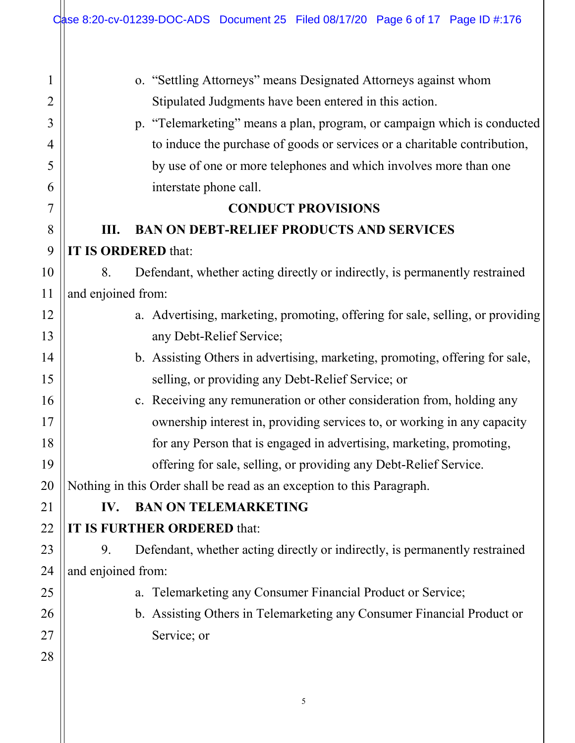|                | Case 8:20-cv-01239-DOC-ADS Document 25 Filed 08/17/20 Page 6 of 17 Page ID #:176  |
|----------------|-----------------------------------------------------------------------------------|
| 1              | o. "Settling Attorneys" means Designated Attorneys against whom                   |
| $\overline{2}$ | Stipulated Judgments have been entered in this action.                            |
| 3              | p. "Telemarketing" means a plan, program, or campaign which is conducted          |
| 4              | to induce the purchase of goods or services or a charitable contribution,         |
| 5              | by use of one or more telephones and which involves more than one                 |
| 6              | interstate phone call.                                                            |
| 7              | <b>CONDUCT PROVISIONS</b>                                                         |
| 8              | <b>BAN ON DEBT-RELIEF PRODUCTS AND SERVICES</b><br>Ш.                             |
| 9              | IT IS ORDERED that:                                                               |
| 10             | 8.<br>Defendant, whether acting directly or indirectly, is permanently restrained |
| 11             | and enjoined from:                                                                |
| 12             | a. Advertising, marketing, promoting, offering for sale, selling, or providing    |
| 13             | any Debt-Relief Service;                                                          |
| 14             | b. Assisting Others in advertising, marketing, promoting, offering for sale,      |
| 15             | selling, or providing any Debt-Relief Service; or                                 |
| 16             | c. Receiving any remuneration or other consideration from, holding any            |
| 17             | ownership interest in, providing services to, or working in any capacity          |
| 18             | for any Person that is engaged in advertising, marketing, promoting,              |
| 19             | offering for sale, selling, or providing any Debt-Relief Service.                 |
| 20             | Nothing in this Order shall be read as an exception to this Paragraph.            |
| 21             | <b>BAN ON TELEMARKETING</b><br>IV.                                                |
| 22             | IT IS FURTHER ORDERED that:                                                       |
| 23             | Defendant, whether acting directly or indirectly, is permanently restrained<br>9. |
| 24             | and enjoined from:                                                                |
| 25             | Telemarketing any Consumer Financial Product or Service;<br>a.                    |
| 26             | b. Assisting Others in Telemarketing any Consumer Financial Product or            |
| 27             | Service; or                                                                       |
| 28             |                                                                                   |
|                |                                                                                   |
|                |                                                                                   |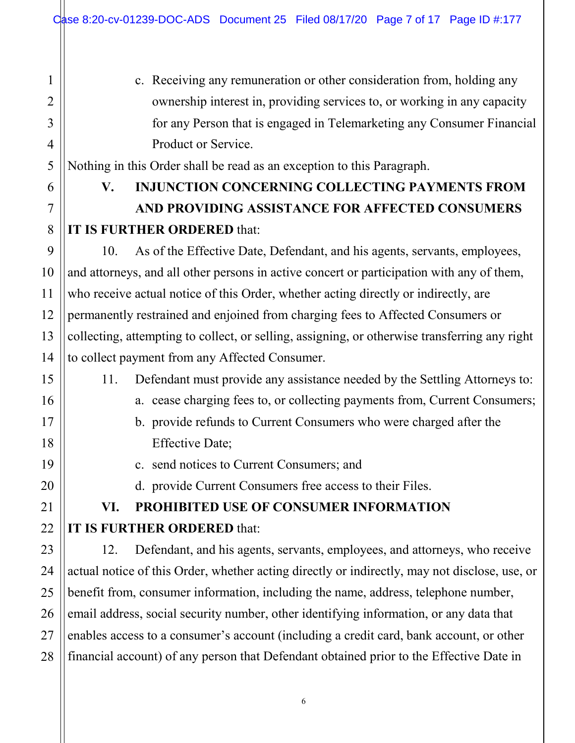c. Receiving any remuneration or other consideration from, holding any ownership interest in, providing services to, or working in any capacity for any Person that is engaged in Telemarketing any Consumer Financial Product or Service.

Nothing in this Order shall be read as an exception to this Paragraph.

## **V. INJUNCTION CONCERNING COLLECTING PAYMENTS FROM AND PROVIDING ASSISTANCE FOR AFFECTED CONSUMERS IT IS FURTHER ORDERED** that:

10. As of the Effective Date, Defendant, and his agents, servants, employees, and attorneys, and all other persons in active concert or participation with any of them, who receive actual notice of this Order, whether acting directly or indirectly, are permanently restrained and enjoined from charging fees to Affected Consumers or collecting, attempting to collect, or selling, assigning, or otherwise transferring any right to collect payment from any Affected Consumer.

- 11. Defendant must provide any assistance needed by the Settling Attorneys to: a. cease charging fees to, or collecting payments from, Current Consumers;
	- b. provide refunds to Current Consumers who were charged after the Effective Date;
	- c. send notices to Current Consumers; and
	- d. provide Current Consumers free access to their Files.

# **VI. PROHIBITED USE OF CONSUMER INFORMATION**

## **IT IS FURTHER ORDERED** that:

12. Defendant, and his agents, servants, employees, and attorneys, who receive actual notice of this Order, whether acting directly or indirectly, may not disclose, use, or benefit from, consumer information, including the name, address, telephone number, email address, social security number, other identifying information, or any data that enables access to a consumer's account (including a credit card, bank account, or other financial account) of any person that Defendant obtained prior to the Effective Date in

1

2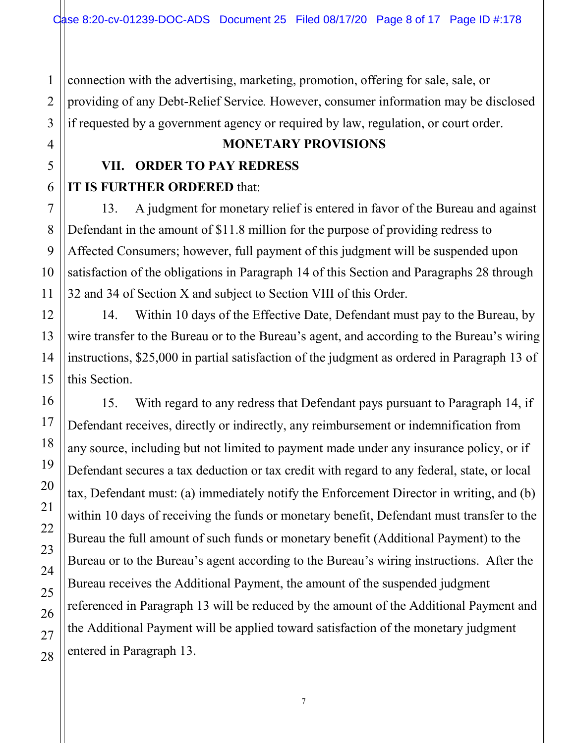connection with the advertising, marketing, promotion, offering for sale, sale, or providing of any Debt-Relief Service*.* However, consumer information may be disclosed if requested by a government agency or required by law, regulation, or court order.

#### **MONETARY PROVISIONS**

## **VII. ORDER TO PAY REDRESS**

## **IT IS FURTHER ORDERED** that:

13. A judgment for monetary relief is entered in favor of the Bureau and against Defendant in the amount of \$11.8 million for the purpose of providing redress to Affected Consumers; however, full payment of this judgment will be suspended upon satisfaction of the obligations in Paragraph 14 of this Section and Paragraphs 28 through 32 and 34 of Section X and subject to Section VIII of this Order.

14. Within 10 days of the Effective Date, Defendant must pay to the Bureau, by wire transfer to the Bureau or to the Bureau's agent, and according to the Bureau's wiring instructions, \$25,000 in partial satisfaction of the judgment as ordered in Paragraph 13 of this Section.

15. With regard to any redress that Defendant pays pursuant to Paragraph 14, if Defendant receives, directly or indirectly, any reimbursement or indemnification from any source, including but not limited to payment made under any insurance policy, or if Defendant secures a tax deduction or tax credit with regard to any federal, state, or local tax, Defendant must: (a) immediately notify the Enforcement Director in writing, and (b) within 10 days of receiving the funds or monetary benefit, Defendant must transfer to the Bureau the full amount of such funds or monetary benefit (Additional Payment) to the Bureau or to the Bureau's agent according to the Bureau's wiring instructions. After the Bureau receives the Additional Payment, the amount of the suspended judgment referenced in Paragraph 13 will be reduced by the amount of the Additional Payment and the Additional Payment will be applied toward satisfaction of the monetary judgment entered in Paragraph 13.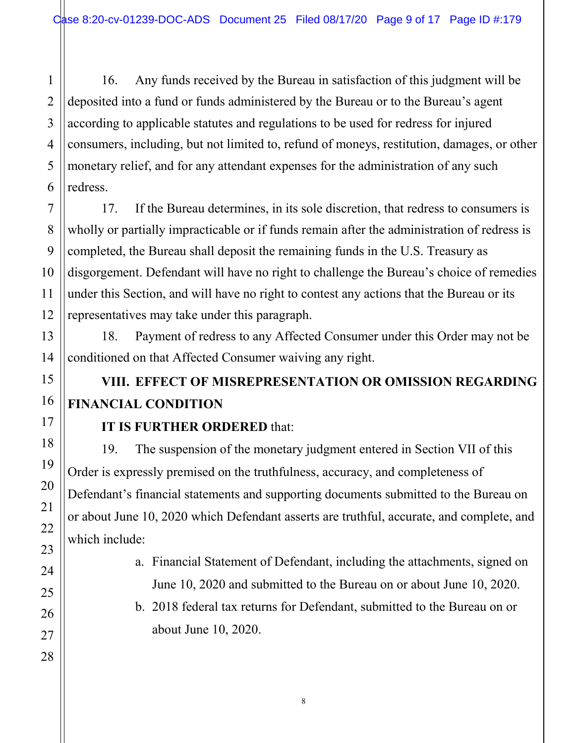16. Any funds received by the Bureau in satisfaction of this judgment will be deposited into a fund or funds administered by the Bureau or to the Bureau's agent according to applicable statutes and regulations to be used for redress for injured consumers, including, but not limited to, refund of moneys, restitution, damages, or other monetary relief, and for any attendant expenses for the administration of any such redress.

17. If the Bureau determines, in its sole discretion, that redress to consumers is wholly or partially impracticable or if funds remain after the administration of redress is completed, the Bureau shall deposit the remaining funds in the U.S. Treasury as disgorgement. Defendant will have no right to challenge the Bureau's choice of remedies under this Section, and will have no right to contest any actions that the Bureau or its representatives may take under this paragraph.

18. Payment of redress to any Affected Consumer under this Order may not be conditioned on that Affected Consumer waiving any right.

# **VIII. EFFECT OF MISREPRESENTATION OR OMISSION REGARDING FINANCIAL CONDITION**

### **IT IS FURTHER ORDERED** that:

19. The suspension of the monetary judgment entered in Section VII of this Order is expressly premised on the truthfulness, accuracy, and completeness of Defendant's financial statements and supporting documents submitted to the Bureau on or about June 10, 2020 which Defendant asserts are truthful, accurate, and complete, and which include:

- a. Financial Statement of Defendant, including the attachments, signed on June 10, 2020 and submitted to the Bureau on or about June 10, 2020.
- b. 2018 federal tax returns for Defendant, submitted to the Bureau on or about June 10, 2020.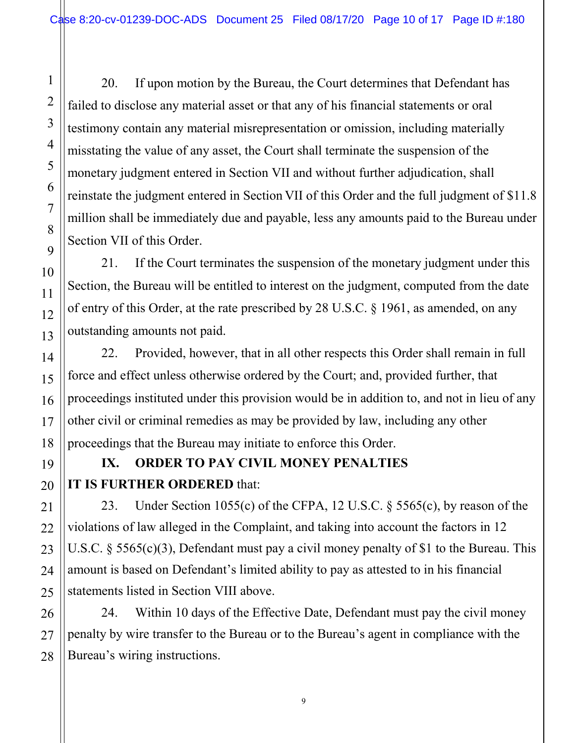20. If upon motion by the Bureau, the Court determines that Defendant has failed to disclose any material asset or that any of his financial statements or oral testimony contain any material misrepresentation or omission, including materially misstating the value of any asset, the Court shall terminate the suspension of the monetary judgment entered in Section VII and without further adjudication, shall reinstate the judgment entered in Section VII of this Order and the full judgment of \$11.8 million shall be immediately due and payable, less any amounts paid to the Bureau under Section VII of this Order.

21. If the Court terminates the suspension of the monetary judgment under this Section, the Bureau will be entitled to interest on the judgment, computed from the date of entry of this Order, at the rate prescribed by 28 U.S.C. § 1961, as amended, on any outstanding amounts not paid.

22. Provided, however, that in all other respects this Order shall remain in full force and effect unless otherwise ordered by the Court; and, provided further, that proceedings instituted under this provision would be in addition to, and not in lieu of any other civil or criminal remedies as may be provided by law, including any other proceedings that the Bureau may initiate to enforce this Order.

### **IX. ORDER TO PAY CIVIL MONEY PENALTIES**

## **IT IS FURTHER ORDERED** that:

23. Under Section 1055(c) of the CFPA, 12 U.S.C. § 5565(c), by reason of the violations of law alleged in the Complaint, and taking into account the factors in 12 U.S.C. § 5565(c)(3), Defendant must pay a civil money penalty of \$1 to the Bureau. This amount is based on Defendant's limited ability to pay as attested to in his financial statements listed in Section VIII above.

24. Within 10 days of the Effective Date, Defendant must pay the civil money penalty by wire transfer to the Bureau or to the Bureau's agent in compliance with the Bureau's wiring instructions.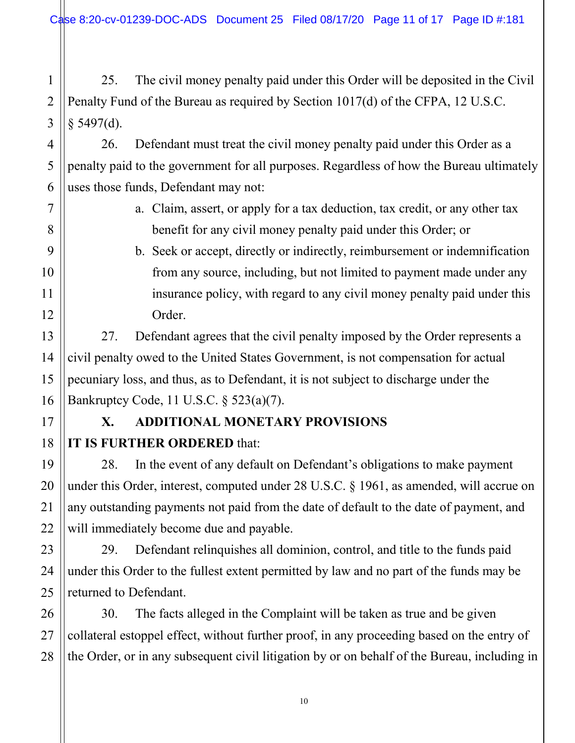Case 8:20-cv-01239-DOC-ADS Document 25 Filed 08/17/20 Page 11 of 17 Page ID #:181

1 2 3 25. The civil money penalty paid under this Order will be deposited in the Civil Penalty Fund of the Bureau as required by Section 1017(d) of the CFPA, 12 U.S.C.  $§$  5497(d).

26. Defendant must treat the civil money penalty paid under this Order as a penalty paid to the government for all purposes. Regardless of how the Bureau ultimately uses those funds, Defendant may not:

> a. Claim, assert, or apply for a tax deduction, tax credit, or any other tax benefit for any civil money penalty paid under this Order; or

b. Seek or accept, directly or indirectly, reimbursement or indemnification from any source, including, but not limited to payment made under any insurance policy, with regard to any civil money penalty paid under this Order.

27. Defendant agrees that the civil penalty imposed by the Order represents a civil penalty owed to the United States Government, is not compensation for actual pecuniary loss, and thus, as to Defendant, it is not subject to discharge under the Bankruptcy Code, 11 U.S.C. § 523(a)(7).

## **X. ADDITIONAL MONETARY PROVISIONS IT IS FURTHER ORDERED** that:

28. In the event of any default on Defendant's obligations to make payment under this Order, interest, computed under 28 U.S.C. § 1961, as amended, will accrue on any outstanding payments not paid from the date of default to the date of payment, and will immediately become due and payable.

29. Defendant relinquishes all dominion, control, and title to the funds paid under this Order to the fullest extent permitted by law and no part of the funds may be returned to Defendant.

30. The facts alleged in the Complaint will be taken as true and be given collateral estoppel effect, without further proof, in any proceeding based on the entry of the Order, or in any subsequent civil litigation by or on behalf of the Bureau, including in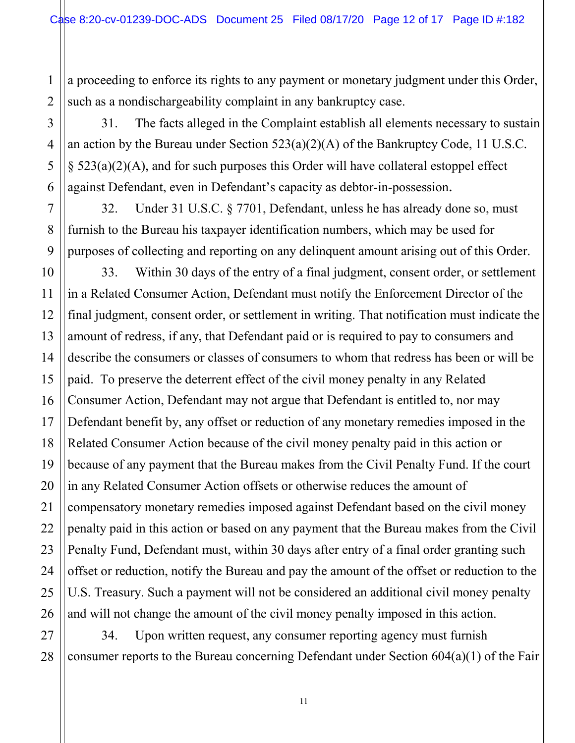1 2 a proceeding to enforce its rights to any payment or monetary judgment under this Order, such as a nondischargeability complaint in any bankruptcy case.

31. The facts alleged in the Complaint establish all elements necessary to sustain an action by the Bureau under Section 523(a)(2)(A) of the Bankruptcy Code, 11 U.S.C. § 523(a)(2)(A), and for such purposes this Order will have collateral estoppel effect against Defendant, even in Defendant's capacity as debtor-in-possession.

32. Under 31 U.S.C. § 7701, Defendant, unless he has already done so, must furnish to the Bureau his taxpayer identification numbers, which may be used for purposes of collecting and reporting on any delinquent amount arising out of this Order.

33. Within 30 days of the entry of a final judgment, consent order, or settlement in a Related Consumer Action, Defendant must notify the Enforcement Director of the final judgment, consent order, or settlement in writing. That notification must indicate the amount of redress, if any, that Defendant paid or is required to pay to consumers and describe the consumers or classes of consumers to whom that redress has been or will be paid. To preserve the deterrent effect of the civil money penalty in any Related Consumer Action, Defendant may not argue that Defendant is entitled to, nor may Defendant benefit by, any offset or reduction of any monetary remedies imposed in the Related Consumer Action because of the civil money penalty paid in this action or because of any payment that the Bureau makes from the Civil Penalty Fund. If the court in any Related Consumer Action offsets or otherwise reduces the amount of compensatory monetary remedies imposed against Defendant based on the civil money penalty paid in this action or based on any payment that the Bureau makes from the Civil Penalty Fund, Defendant must, within 30 days after entry of a final order granting such offset or reduction, notify the Bureau and pay the amount of the offset or reduction to the U.S. Treasury. Such a payment will not be considered an additional civil money penalty and will not change the amount of the civil money penalty imposed in this action.

34. Upon written request, any consumer reporting agency must furnish consumer reports to the Bureau concerning Defendant under Section 604(a)(1) of the Fair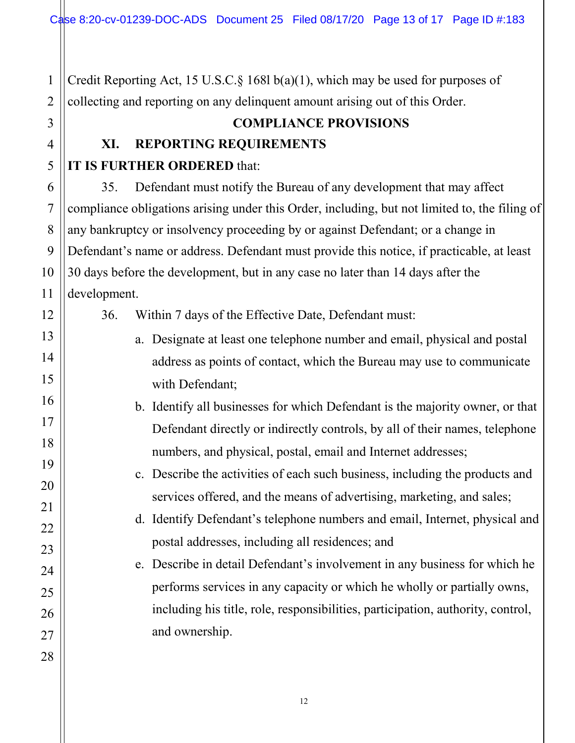Credit Reporting Act, 15 U.S.C.§ 168l b(a)(1), which may be used for purposes of collecting and reporting on any delinquent amount arising out of this Order.

#### **COMPLIANCE PROVISIONS**

## **XI. REPORTING REQUIREMENTS**

### **IT IS FURTHER ORDERED** that:

35. Defendant must notify the Bureau of any development that may affect compliance obligations arising under this Order, including, but not limited to, the filing of any bankruptcy or insolvency proceeding by or against Defendant; or a change in Defendant's name or address. Defendant must provide this notice, if practicable, at least 30 days before the development, but in any case no later than 14 days after the development.

36. Within 7 days of the Effective Date, Defendant must:

- a. Designate at least one telephone number and email, physical and postal address as points of contact, which the Bureau may use to communicate with Defendant;
- b. Identify all businesses for which Defendant is the majority owner, or that Defendant directly or indirectly controls, by all of their names, telephone numbers, and physical, postal, email and Internet addresses;
- c. Describe the activities of each such business, including the products and services offered, and the means of advertising, marketing, and sales;
- d. Identify Defendant's telephone numbers and email, Internet, physical and postal addresses, including all residences; and

e. Describe in detail Defendant's involvement in any business for which he performs services in any capacity or which he wholly or partially owns, including his title, role, responsibilities, participation, authority, control, and ownership.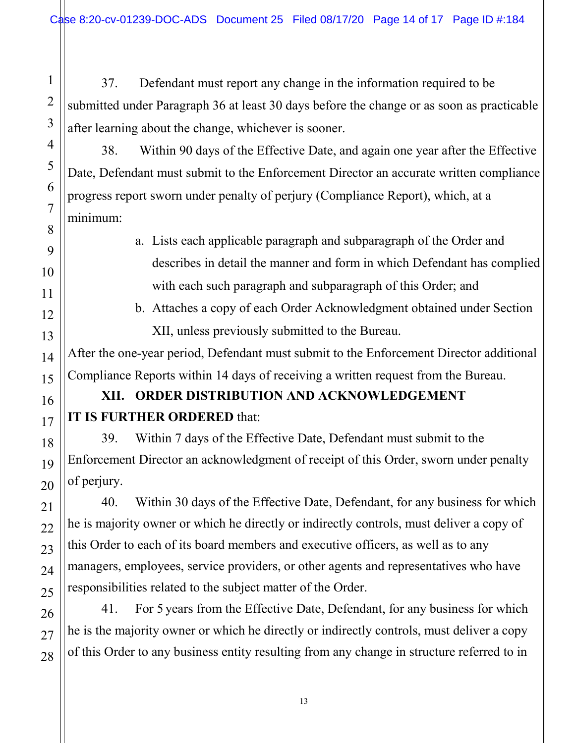37. Defendant must report any change in the information required to be submitted under Paragraph 36 at least 30 days before the change or as soon as practicable after learning about the change, whichever is sooner.

38. Within 90 days of the Effective Date, and again one year after the Effective Date, Defendant must submit to the Enforcement Director an accurate written compliance progress report sworn under penalty of perjury (Compliance Report), which, at a minimum:

> a. Lists each applicable paragraph and subparagraph of the Order and describes in detail the manner and form in which Defendant has complied with each such paragraph and subparagraph of this Order; and

## b. Attaches a copy of each Order Acknowledgment obtained under Section XII, unless previously submitted to the Bureau.

After the one-year period, Defendant must submit to the Enforcement Director additional Compliance Reports within 14 days of receiving a written request from the Bureau.

## **XII. ORDER DISTRIBUTION AND ACKNOWLEDGEMENT IT IS FURTHER ORDERED** that:

39. Within 7 days of the Effective Date, Defendant must submit to the Enforcement Director an acknowledgment of receipt of this Order, sworn under penalty of perjury.

40. Within 30 days of the Effective Date, Defendant, for any business for which he is majority owner or which he directly or indirectly controls, must deliver a copy of this Order to each of its board members and executive officers, as well as to any managers, employees, service providers, or other agents and representatives who have responsibilities related to the subject matter of the Order.

41. For 5 years from the Effective Date, Defendant, for any business for which he is the majority owner or which he directly or indirectly controls, must deliver a copy of this Order to any business entity resulting from any change in structure referred to in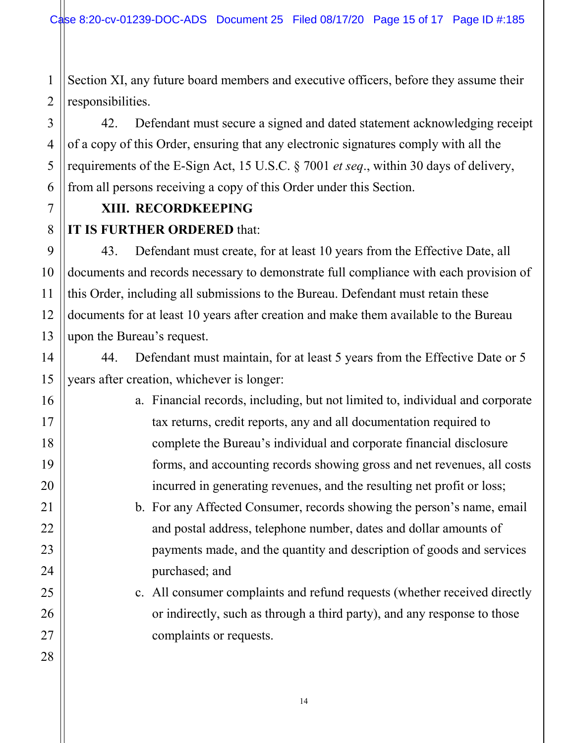1 Section XI, any future board members and executive officers, before they assume their responsibilities.

42. Defendant must secure a signed and dated statement acknowledging receipt of a copy of this Order, ensuring that any electronic signatures comply with all the requirements of the E-Sign Act, 15 U.S.C. § 7001 *et seq*., within 30 days of delivery, from all persons receiving a copy of this Order under this Section.

### **XIII. RECORDKEEPING**

### **IT IS FURTHER ORDERED** that:

43. Defendant must create, for at least 10 years from the Effective Date, all documents and records necessary to demonstrate full compliance with each provision of this Order, including all submissions to the Bureau. Defendant must retain these documents for at least 10 years after creation and make them available to the Bureau upon the Bureau's request.

44. Defendant must maintain, for at least 5 years from the Effective Date or 5 years after creation, whichever is longer:

> a. Financial records, including, but not limited to, individual and corporate tax returns, credit reports, any and all documentation required to complete the Bureau's individual and corporate financial disclosure forms, and accounting records showing gross and net revenues, all costs incurred in generating revenues, and the resulting net profit or loss;

b. For any Affected Consumer, records showing the person's name, email and postal address, telephone number, dates and dollar amounts of payments made, and the quantity and description of goods and services purchased; and

c. All consumer complaints and refund requests (whether received directly or indirectly, such as through a third party), and any response to those complaints or requests.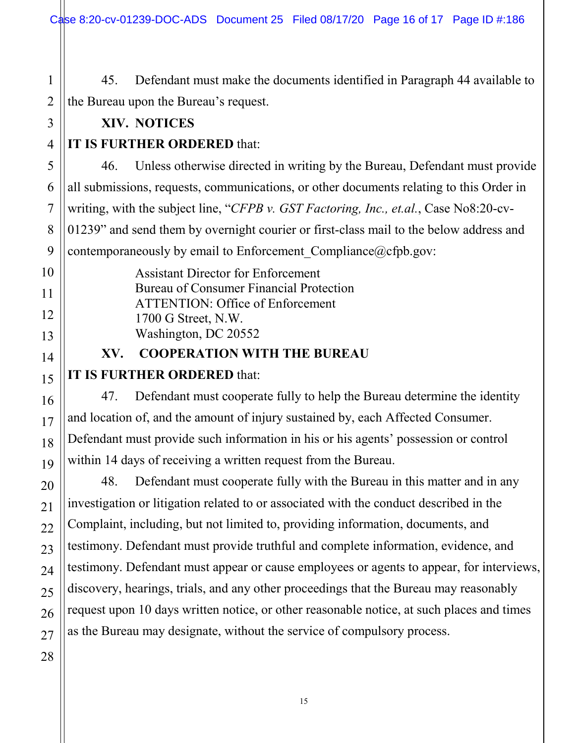2 45. Defendant must make the documents identified in Paragraph 44 available to the Bureau upon the Bureau's request.

#### **XIV. NOTICES**

#### **IT IS FURTHER ORDERED** that:

46. Unless otherwise directed in writing by the Bureau, Defendant must provide all submissions, requests, communications, or other documents relating to this Order in writing, with the subject line, "*CFPB v. GST Factoring, Inc., et.al.*, Case No8:20-cv-01239" and send them by overnight courier or first-class mail to the below address and contemporaneously by email to Enforcement Compliance@cfpb.gov:

> Assistant Director for Enforcement Bureau of Consumer Financial Protection ATTENTION: Office of Enforcement 1700 G Street, N.W. Washington, DC 20552

### **XV. COOPERATION WITH THE BUREAU**

## **IT IS FURTHER ORDERED** that:

47. Defendant must cooperate fully to help the Bureau determine the identity and location of, and the amount of injury sustained by, each Affected Consumer. Defendant must provide such information in his or his agents' possession or control within 14 days of receiving a written request from the Bureau.

48. Defendant must cooperate fully with the Bureau in this matter and in any investigation or litigation related to or associated with the conduct described in the Complaint, including, but not limited to, providing information, documents, and testimony. Defendant must provide truthful and complete information, evidence, and testimony. Defendant must appear or cause employees or agents to appear, for interviews, discovery, hearings, trials, and any other proceedings that the Bureau may reasonably request upon 10 days written notice, or other reasonable notice, at such places and times as the Bureau may designate, without the service of compulsory process.